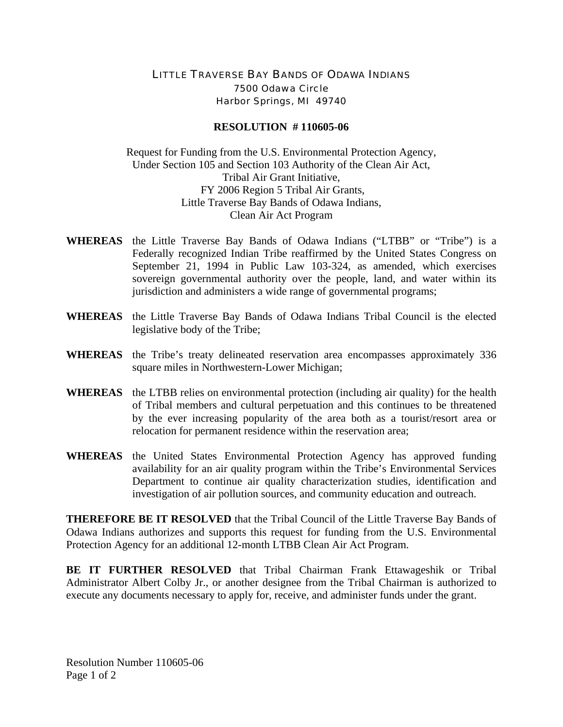## LITTLE TRAVERSE BAY BANDS OF ODAWA INDIANS 7500 Odawa Circle Harbor Springs, MI 49740

## **RESOLUTION # 110605-06**

Request for Funding from the U.S. Environmental Protection Agency, Under Section 105 and Section 103 Authority of the Clean Air Act, Tribal Air Grant Initiative, FY 2006 Region 5 Tribal Air Grants, Little Traverse Bay Bands of Odawa Indians, Clean Air Act Program

- **WHEREAS** the Little Traverse Bay Bands of Odawa Indians ("LTBB" or "Tribe") is a Federally recognized Indian Tribe reaffirmed by the United States Congress on September 21, 1994 in Public Law 103-324, as amended, which exercises sovereign governmental authority over the people, land, and water within its jurisdiction and administers a wide range of governmental programs;
- **WHEREAS** the Little Traverse Bay Bands of Odawa Indians Tribal Council is the elected legislative body of the Tribe;
- **WHEREAS** the Tribe's treaty delineated reservation area encompasses approximately 336 square miles in Northwestern-Lower Michigan;
- **WHEREAS** the LTBB relies on environmental protection (including air quality) for the health of Tribal members and cultural perpetuation and this continues to be threatened by the ever increasing popularity of the area both as a tourist/resort area or relocation for permanent residence within the reservation area;
- **WHEREAS** the United States Environmental Protection Agency has approved funding availability for an air quality program within the Tribe's Environmental Services Department to continue air quality characterization studies, identification and investigation of air pollution sources, and community education and outreach.

**THEREFORE BE IT RESOLVED** that the Tribal Council of the Little Traverse Bay Bands of Odawa Indians authorizes and supports this request for funding from the U.S. Environmental Protection Agency for an additional 12-month LTBB Clean Air Act Program.

**BE IT FURTHER RESOLVED** that Tribal Chairman Frank Ettawageshik or Tribal Administrator Albert Colby Jr., or another designee from the Tribal Chairman is authorized to execute any documents necessary to apply for, receive, and administer funds under the grant.